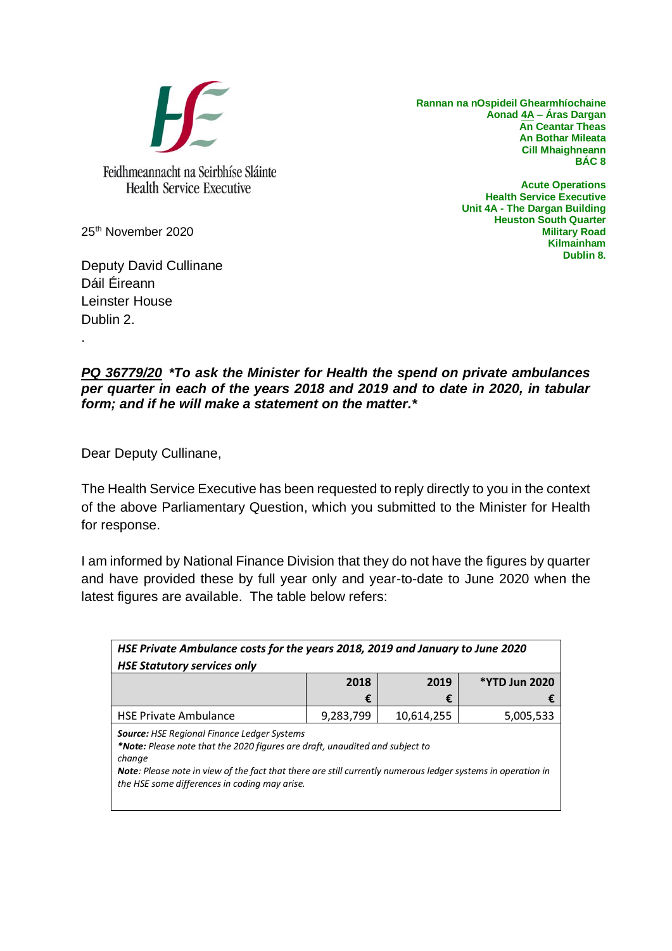

**Rannan na nOspideil Ghearmhíochaine Aonad 4A – Áras Dargan An Ceantar Theas An Bothar Mileata Cill Mhaighneann BÁC 8**

> **Acute Operations Health Service Executive Unit 4A - The Dargan Building Heuston South Quarter Military Road Kilmainham Dublin 8.**

25th November 2020

Deputy David Cullinane Dáil Éireann Leinster House Dublin 2.

.

## *PQ 36779/20 \*To ask the Minister for Health the spend on private ambulances per quarter in each of the years 2018 and 2019 and to date in 2020, in tabular form; and if he will make a statement on the matter.\**

Dear Deputy Cullinane,

The Health Service Executive has been requested to reply directly to you in the context of the above Parliamentary Question, which you submitted to the Minister for Health for response.

I am informed by National Finance Division that they do not have the figures by quarter and have provided these by full year only and year-to-date to June 2020 when the latest figures are available. The table below refers:

| HSE Private Ambulance costs for the years 2018, 2019 and January to June 2020                                                                                                                                                                                                                                        |           |            |                      |
|----------------------------------------------------------------------------------------------------------------------------------------------------------------------------------------------------------------------------------------------------------------------------------------------------------------------|-----------|------------|----------------------|
| <b>HSE Statutory services only</b>                                                                                                                                                                                                                                                                                   |           |            |                      |
|                                                                                                                                                                                                                                                                                                                      | 2018      | 2019       | <b>*YTD Jun 2020</b> |
|                                                                                                                                                                                                                                                                                                                      | €         | €          |                      |
| <b>HSE Private Ambulance</b>                                                                                                                                                                                                                                                                                         | 9,283,799 | 10,614,255 | 5,005,533            |
| <b>Source: HSE Regional Finance Ledger Systems</b><br>*Note: Please note that the 2020 figures are draft, unaudited and subject to<br>change<br><b>Note:</b> Please note in view of the fact that there are still currently numerous ledger systems in operation in<br>the HSE some differences in coding may arise. |           |            |                      |